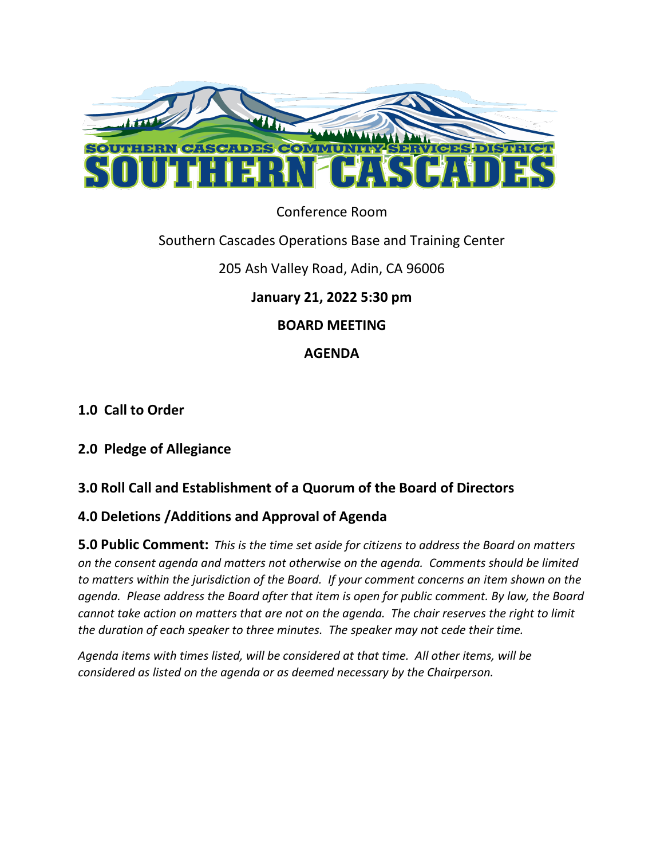

### Conference Room

### Southern Cascades Operations Base and Training Center

# 205 Ash Valley Road, Adin, CA 96006

# **January 21, 2022 5:30 pm**

### **BOARD MEETING**

# **AGENDA**

# **1.0 Call to Order**

### **2.0 Pledge of Allegiance**

# **3.0 Roll Call and Establishment of a Quorum of the Board of Directors**

### **4.0 Deletions /Additions and Approval of Agenda**

**5.0 Public Comment:** *This is the time set aside for citizens to address the Board on matters on the consent agenda and matters not otherwise on the agenda. Comments should be limited to matters within the jurisdiction of the Board. If your comment concerns an item shown on the agenda. Please address the Board after that item is open for public comment. By law, the Board cannot take action on matters that are not on the agenda. The chair reserves the right to limit the duration of each speaker to three minutes. The speaker may not cede their time.* 

*Agenda items with times listed, will be considered at that time. All other items, will be considered as listed on the agenda or as deemed necessary by the Chairperson.*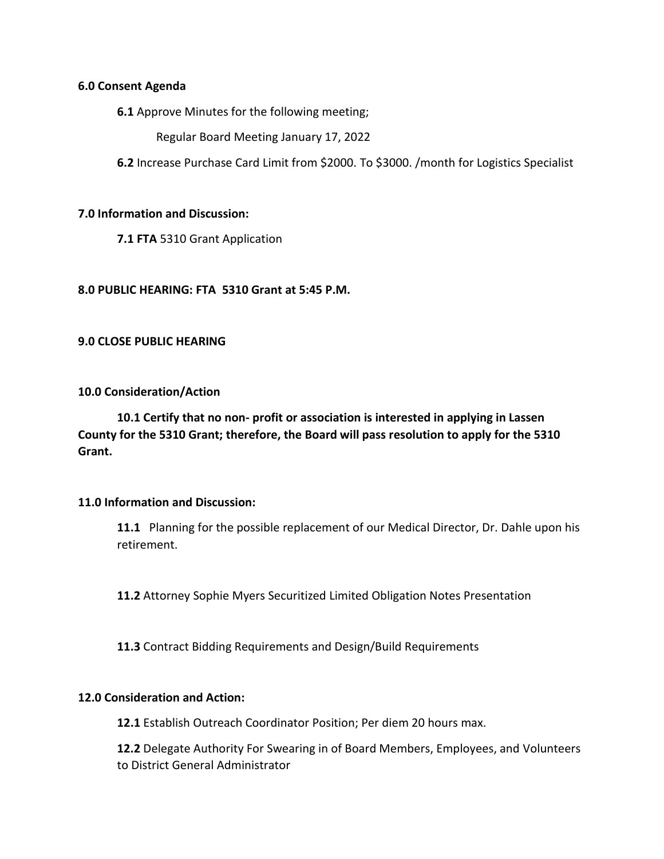#### **6.0 Consent Agenda**

**6.1** Approve Minutes for the following meeting;

Regular Board Meeting January 17, 2022

**6.2** Increase Purchase Card Limit from \$2000. To \$3000. /month for Logistics Specialist

#### **7.0 Information and Discussion:**

**7.1 FTA** 5310 Grant Application

#### **8.0 PUBLIC HEARING: FTA 5310 Grant at 5:45 P.M.**

#### **9.0 CLOSE PUBLIC HEARING**

#### **10.0 Consideration/Action**

**10.1 Certify that no non- profit or association is interested in applying in Lassen County for the 5310 Grant; therefore, the Board will pass resolution to apply for the 5310 Grant.**

#### **11.0 Information and Discussion:**

**11.1** Planning for the possible replacement of our Medical Director, Dr. Dahle upon his retirement.

**11.2** Attorney Sophie Myers Securitized Limited Obligation Notes Presentation

**11.3** Contract Bidding Requirements and Design/Build Requirements

#### **12.0 Consideration and Action:**

**12.1** Establish Outreach Coordinator Position; Per diem 20 hours max.

**12.2** Delegate Authority For Swearing in of Board Members, Employees, and Volunteers to District General Administrator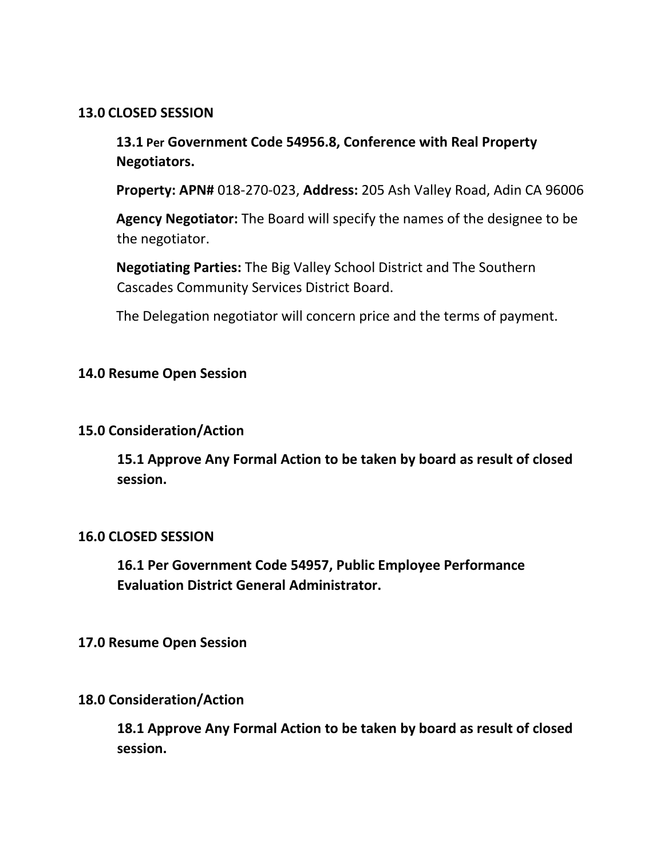### **13.0 CLOSED SESSION**

**13.1 Per Government Code 54956.8, Conference with Real Property Negotiators.** 

**Property: APN#** 018-270-023, **Address:** 205 Ash Valley Road, Adin CA 96006

**Agency Negotiator:** The Board will specify the names of the designee to be the negotiator.

**Negotiating Parties:** The Big Valley School District and The Southern Cascades Community Services District Board.

The Delegation negotiator will concern price and the terms of payment.

### **14.0 Resume Open Session**

#### **15.0 Consideration/Action**

**15.1 Approve Any Formal Action to be taken by board as result of closed session.**

#### **16.0 CLOSED SESSION**

**16.1 Per Government Code 54957, Public Employee Performance Evaluation District General Administrator.**

#### **17.0 Resume Open Session**

### **18.0 Consideration/Action**

**18.1 Approve Any Formal Action to be taken by board as result of closed session.**